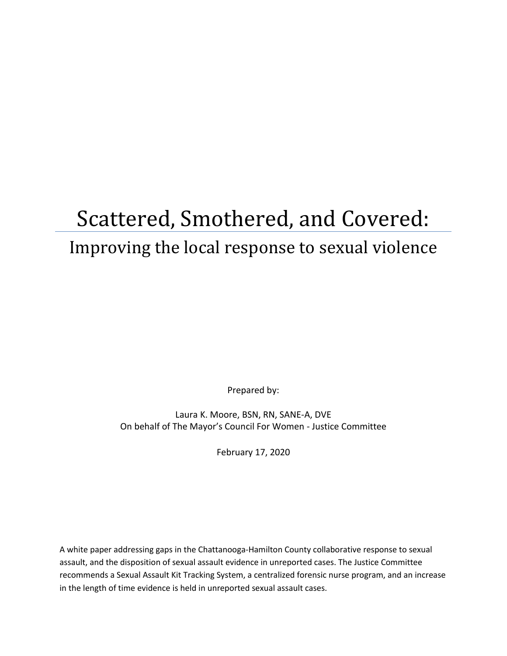# Scattered, Smothered, and Covered: Improving the local response to sexual violence

Prepared by:

Laura K. Moore, BSN, RN, SANE-A, DVE On behalf of The Mayor's Council For Women - Justice Committee

February 17, 2020

A white paper addressing gaps in the Chattanooga-Hamilton County collaborative response to sexual assault, and the disposition of sexual assault evidence in unreported cases. The Justice Committee recommends a Sexual Assault Kit Tracking System, a centralized forensic nurse program, and an increase in the length of time evidence is held in unreported sexual assault cases.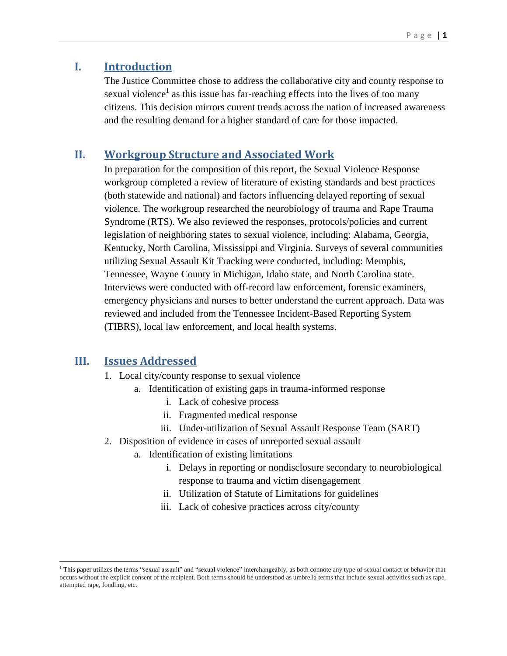## **I. Introduction**

The Justice Committee chose to address the collaborative city and county response to sexual violence<sup>1</sup> as this issue has far-reaching effects into the lives of too many citizens. This decision mirrors current trends across the nation of increased awareness and the resulting demand for a higher standard of care for those impacted.

#### **II. Workgroup Structure and Associated Work**

In preparation for the composition of this report, the Sexual Violence Response workgroup completed a review of literature of existing standards and best practices (both statewide and national) and factors influencing delayed reporting of sexual violence. The workgroup researched the neurobiology of trauma and Rape Trauma Syndrome (RTS). We also reviewed the responses, protocols/policies and current legislation of neighboring states to sexual violence, including: Alabama, Georgia, Kentucky, North Carolina, Mississippi and Virginia. Surveys of several communities utilizing Sexual Assault Kit Tracking were conducted, including: Memphis, Tennessee, Wayne County in Michigan, Idaho state, and North Carolina state. Interviews were conducted with off-record law enforcement, forensic examiners, emergency physicians and nurses to better understand the current approach. Data was reviewed and included from the Tennessee Incident-Based Reporting System (TIBRS), local law enforcement, and local health systems.

#### **III. Issues Addressed**

 $\overline{a}$ 

- 1. Local city/county response to sexual violence
	- a. Identification of existing gaps in trauma-informed response
		- i. Lack of cohesive process
		- ii. Fragmented medical response
		- iii. Under-utilization of Sexual Assault Response Team (SART)
- 2. Disposition of evidence in cases of unreported sexual assault
	- a. Identification of existing limitations
		- i. Delays in reporting or nondisclosure secondary to neurobiological response to trauma and victim disengagement
		- ii. Utilization of Statute of Limitations for guidelines
		- iii. Lack of cohesive practices across city/county

<sup>&</sup>lt;sup>1</sup> This paper utilizes the terms "sexual assault" and "sexual violence" interchangeably, as both connote any type of sexual contact or behavior that occurs without the explicit consent of the recipient. Both terms should be understood as umbrella terms that include sexual activities such as rape, attempted rape, fondling, etc.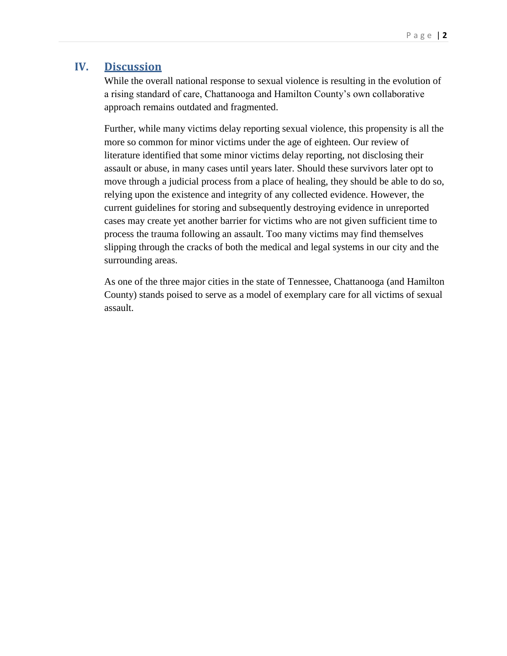## **IV. Discussion**

While the overall national response to sexual violence is resulting in the evolution of a rising standard of care, Chattanooga and Hamilton County's own collaborative approach remains outdated and fragmented.

Further, while many victims delay reporting sexual violence, this propensity is all the more so common for minor victims under the age of eighteen. Our review of literature identified that some minor victims delay reporting, not disclosing their assault or abuse, in many cases until years later. Should these survivors later opt to move through a judicial process from a place of healing, they should be able to do so, relying upon the existence and integrity of any collected evidence. However, the current guidelines for storing and subsequently destroying evidence in unreported cases may create yet another barrier for victims who are not given sufficient time to process the trauma following an assault. Too many victims may find themselves slipping through the cracks of both the medical and legal systems in our city and the surrounding areas.

As one of the three major cities in the state of Tennessee, Chattanooga (and Hamilton County) stands poised to serve as a model of exemplary care for all victims of sexual assault.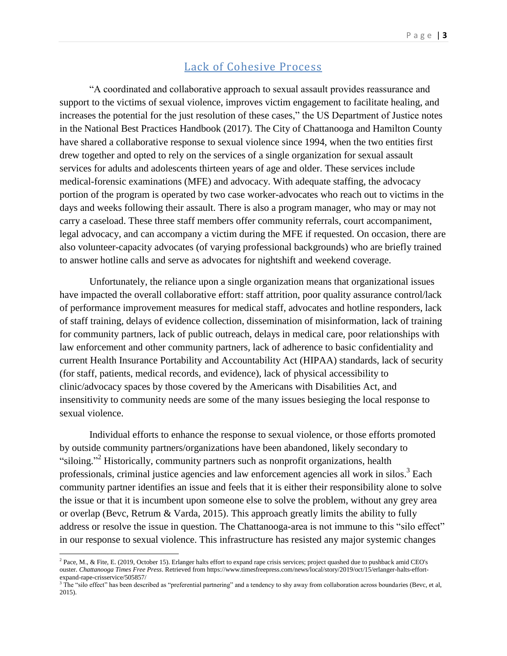#### Lack of Cohesive Process

"A coordinated and collaborative approach to sexual assault provides reassurance and support to the victims of sexual violence, improves victim engagement to facilitate healing, and increases the potential for the just resolution of these cases," the US Department of Justice notes in the National Best Practices Handbook (2017). The City of Chattanooga and Hamilton County have shared a collaborative response to sexual violence since 1994, when the two entities first drew together and opted to rely on the services of a single organization for sexual assault services for adults and adolescents thirteen years of age and older. These services include medical-forensic examinations (MFE) and advocacy. With adequate staffing, the advocacy portion of the program is operated by two case worker-advocates who reach out to victims in the days and weeks following their assault. There is also a program manager, who may or may not carry a caseload. These three staff members offer community referrals, court accompaniment, legal advocacy, and can accompany a victim during the MFE if requested. On occasion, there are also volunteer-capacity advocates (of varying professional backgrounds) who are briefly trained to answer hotline calls and serve as advocates for nightshift and weekend coverage.

Unfortunately, the reliance upon a single organization means that organizational issues have impacted the overall collaborative effort: staff attrition, poor quality assurance control/lack of performance improvement measures for medical staff, advocates and hotline responders, lack of staff training, delays of evidence collection, dissemination of misinformation, lack of training for community partners, lack of public outreach, delays in medical care, poor relationships with law enforcement and other community partners, lack of adherence to basic confidentiality and current Health Insurance Portability and Accountability Act (HIPAA) standards, lack of security (for staff, patients, medical records, and evidence), lack of physical accessibility to clinic/advocacy spaces by those covered by the Americans with Disabilities Act, and insensitivity to community needs are some of the many issues besieging the local response to sexual violence.

Individual efforts to enhance the response to sexual violence, or those efforts promoted by outside community partners/organizations have been abandoned, likely secondary to "siloing."<sup>2</sup> Historically, community partners such as nonprofit organizations, health professionals, criminal justice agencies and law enforcement agencies all work in silos.<sup>3</sup> Each community partner identifies an issue and feels that it is either their responsibility alone to solve the issue or that it is incumbent upon someone else to solve the problem, without any grey area or overlap (Bevc, Retrum & Varda, 2015). This approach greatly limits the ability to fully address or resolve the issue in question. The Chattanooga-area is not immune to this "silo effect" in our response to sexual violence. This infrastructure has resisted any major systemic changes

<sup>&</sup>lt;sup>2</sup> Pace, M., & Fite, E. (2019, October 15). Erlanger halts effort to expand rape crisis services; project quashed due to pushback amid CEO's ouster. *Chattanooga Times Free Press*. Retrieved from https://www.timesfreepress.com/news/local/story/2019/oct/15/erlanger-halts-effortexpand-rape-crisservice/505857/

 $3$  The "silo effect" has been described as "preferential partnering" and a tendency to shy away from collaboration across boundaries (Bevc, et al, 2015).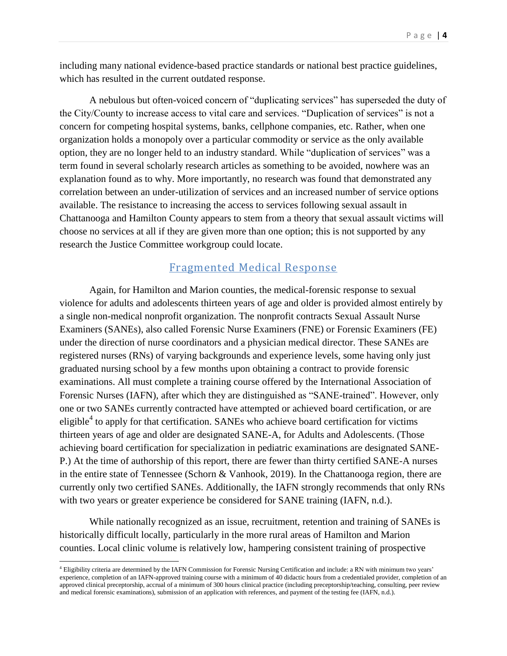including many national evidence-based practice standards or national best practice guidelines, which has resulted in the current outdated response.

A nebulous but often-voiced concern of "duplicating services" has superseded the duty of the City/County to increase access to vital care and services. "Duplication of services" is not a concern for competing hospital systems, banks, cellphone companies, etc. Rather, when one organization holds a monopoly over a particular commodity or service as the only available option, they are no longer held to an industry standard. While "duplication of services" was a term found in several scholarly research articles as something to be avoided, nowhere was an explanation found as to why. More importantly, no research was found that demonstrated any correlation between an under-utilization of services and an increased number of service options available. The resistance to increasing the access to services following sexual assault in Chattanooga and Hamilton County appears to stem from a theory that sexual assault victims will choose no services at all if they are given more than one option; this is not supported by any research the Justice Committee workgroup could locate.

#### Fragmented Medical Response

Again, for Hamilton and Marion counties, the medical-forensic response to sexual violence for adults and adolescents thirteen years of age and older is provided almost entirely by a single non-medical nonprofit organization. The nonprofit contracts Sexual Assault Nurse Examiners (SANEs), also called Forensic Nurse Examiners (FNE) or Forensic Examiners (FE) under the direction of nurse coordinators and a physician medical director. These SANEs are registered nurses (RNs) of varying backgrounds and experience levels, some having only just graduated nursing school by a few months upon obtaining a contract to provide forensic examinations. All must complete a training course offered by the International Association of Forensic Nurses (IAFN), after which they are distinguished as "SANE-trained". However, only one or two SANEs currently contracted have attempted or achieved board certification, or are eligible<sup>4</sup> to apply for that certification. SANEs who achieve board certification for victims thirteen years of age and older are designated SANE-A, for Adults and Adolescents. (Those achieving board certification for specialization in pediatric examinations are designated SANE-P.) At the time of authorship of this report, there are fewer than thirty certified SANE-A nurses in the entire state of Tennessee (Schorn & Vanhook, 2019). In the Chattanooga region, there are currently only two certified SANEs. Additionally, the IAFN strongly recommends that only RNs with two years or greater experience be considered for SANE training (IAFN, n.d.).

While nationally recognized as an issue, recruitment, retention and training of SANEs is historically difficult locally, particularly in the more rural areas of Hamilton and Marion counties. Local clinic volume is relatively low, hampering consistent training of prospective

 $\overline{a}$ 

<sup>4</sup> Eligibility criteria are determined by the IAFN Commission for Forensic Nursing Certification and include: a RN with minimum two years' experience, completion of an IAFN-approved training course with a minimum of 40 didactic hours from a credentialed provider, completion of an approved clinical preceptorship, accrual of a minimum of 300 hours clinical practice (including preceptorship/teaching, consulting, peer review and medical forensic examinations), submission of an application with references, and payment of the testing fee (IAFN, n.d.).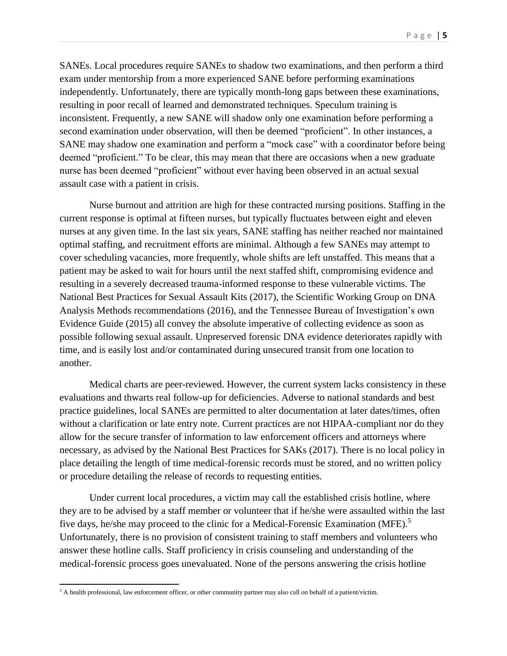SANEs. Local procedures require SANEs to shadow two examinations, and then perform a third exam under mentorship from a more experienced SANE before performing examinations independently. Unfortunately, there are typically month-long gaps between these examinations, resulting in poor recall of learned and demonstrated techniques. Speculum training is inconsistent. Frequently, a new SANE will shadow only one examination before performing a second examination under observation, will then be deemed "proficient". In other instances, a SANE may shadow one examination and perform a "mock case" with a coordinator before being deemed "proficient." To be clear, this may mean that there are occasions when a new graduate nurse has been deemed "proficient" without ever having been observed in an actual sexual assault case with a patient in crisis.

Nurse burnout and attrition are high for these contracted nursing positions. Staffing in the current response is optimal at fifteen nurses, but typically fluctuates between eight and eleven nurses at any given time. In the last six years, SANE staffing has neither reached nor maintained optimal staffing, and recruitment efforts are minimal. Although a few SANEs may attempt to cover scheduling vacancies, more frequently, whole shifts are left unstaffed. This means that a patient may be asked to wait for hours until the next staffed shift, compromising evidence and resulting in a severely decreased trauma-informed response to these vulnerable victims. The National Best Practices for Sexual Assault Kits (2017), the Scientific Working Group on DNA Analysis Methods recommendations (2016), and the Tennessee Bureau of Investigation's own Evidence Guide (2015) all convey the absolute imperative of collecting evidence as soon as possible following sexual assault. Unpreserved forensic DNA evidence deteriorates rapidly with time, and is easily lost and/or contaminated during unsecured transit from one location to another.

Medical charts are peer-reviewed. However, the current system lacks consistency in these evaluations and thwarts real follow-up for deficiencies. Adverse to national standards and best practice guidelines, local SANEs are permitted to alter documentation at later dates/times, often without a clarification or late entry note. Current practices are not HIPAA-compliant nor do they allow for the secure transfer of information to law enforcement officers and attorneys where necessary, as advised by the National Best Practices for SAKs (2017). There is no local policy in place detailing the length of time medical-forensic records must be stored, and no written policy or procedure detailing the release of records to requesting entities.

Under current local procedures, a victim may call the established crisis hotline, where they are to be advised by a staff member or volunteer that if he/she were assaulted within the last five days, he/she may proceed to the clinic for a Medical-Forensic Examination (MFE).<sup>5</sup> Unfortunately, there is no provision of consistent training to staff members and volunteers who answer these hotline calls. Staff proficiency in crisis counseling and understanding of the medical-forensic process goes unevaluated. None of the persons answering the crisis hotline

 $5$  A health professional, law enforcement officer, or other community partner may also call on behalf of a patient/victim.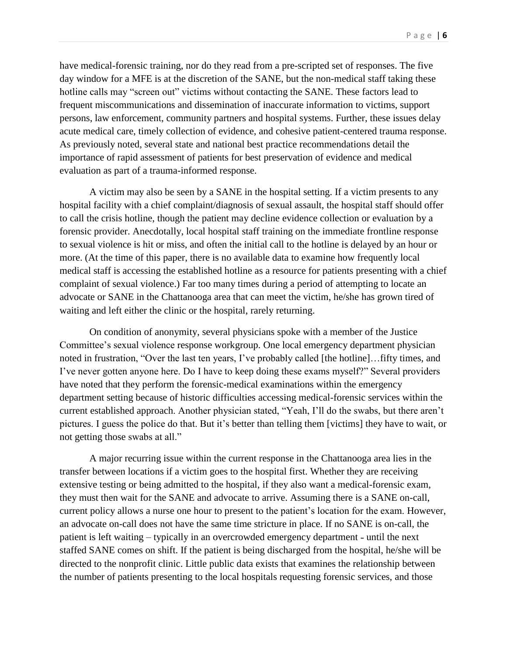have medical-forensic training, nor do they read from a pre-scripted set of responses. The five day window for a MFE is at the discretion of the SANE, but the non-medical staff taking these hotline calls may "screen out" victims without contacting the SANE. These factors lead to frequent miscommunications and dissemination of inaccurate information to victims, support persons, law enforcement, community partners and hospital systems. Further, these issues delay acute medical care, timely collection of evidence, and cohesive patient-centered trauma response. As previously noted, several state and national best practice recommendations detail the importance of rapid assessment of patients for best preservation of evidence and medical evaluation as part of a trauma-informed response.

A victim may also be seen by a SANE in the hospital setting. If a victim presents to any hospital facility with a chief complaint/diagnosis of sexual assault, the hospital staff should offer to call the crisis hotline, though the patient may decline evidence collection or evaluation by a forensic provider. Anecdotally, local hospital staff training on the immediate frontline response to sexual violence is hit or miss, and often the initial call to the hotline is delayed by an hour or more. (At the time of this paper, there is no available data to examine how frequently local medical staff is accessing the established hotline as a resource for patients presenting with a chief complaint of sexual violence.) Far too many times during a period of attempting to locate an advocate or SANE in the Chattanooga area that can meet the victim, he/she has grown tired of waiting and left either the clinic or the hospital, rarely returning.

On condition of anonymity, several physicians spoke with a member of the Justice Committee's sexual violence response workgroup. One local emergency department physician noted in frustration, "Over the last ten years, I've probably called [the hotline]…fifty times, and I've never gotten anyone here. Do I have to keep doing these exams myself?" Several providers have noted that they perform the forensic-medical examinations within the emergency department setting because of historic difficulties accessing medical-forensic services within the current established approach. Another physician stated, "Yeah, I'll do the swabs, but there aren't pictures. I guess the police do that. But it's better than telling them [victims] they have to wait, or not getting those swabs at all."

A major recurring issue within the current response in the Chattanooga area lies in the transfer between locations if a victim goes to the hospital first. Whether they are receiving extensive testing or being admitted to the hospital, if they also want a medical-forensic exam, they must then wait for the SANE and advocate to arrive. Assuming there is a SANE on-call, current policy allows a nurse one hour to present to the patient's location for the exam. However, an advocate on-call does not have the same time stricture in place. If no SANE is on-call, the patient is left waiting – typically in an overcrowded emergency department - until the next staffed SANE comes on shift. If the patient is being discharged from the hospital, he/she will be directed to the nonprofit clinic. Little public data exists that examines the relationship between the number of patients presenting to the local hospitals requesting forensic services, and those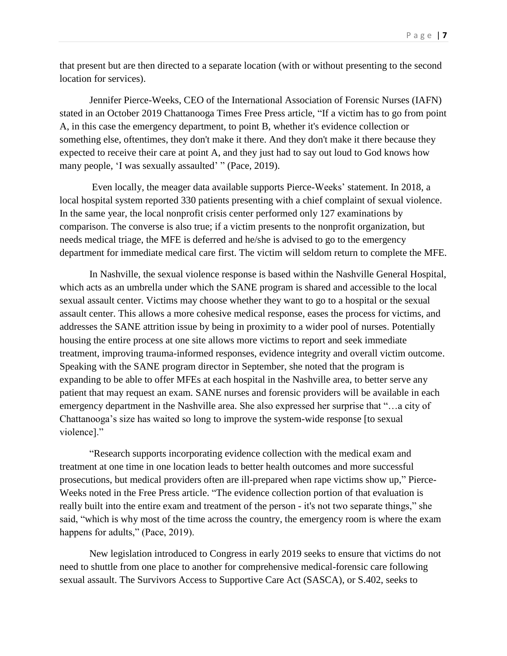that present but are then directed to a separate location (with or without presenting to the second location for services).

Jennifer Pierce-Weeks, CEO of the International Association of Forensic Nurses (IAFN) stated in an October 2019 Chattanooga Times Free Press article, "If a victim has to go from point A, in this case the emergency department, to point B, whether it's evidence collection or something else, oftentimes, they don't make it there. And they don't make it there because they expected to receive their care at point A, and they just had to say out loud to God knows how many people, 'I was sexually assaulted' " (Pace, 2019).

Even locally, the meager data available supports Pierce-Weeks' statement. In 2018, a local hospital system reported 330 patients presenting with a chief complaint of sexual violence. In the same year, the local nonprofit crisis center performed only 127 examinations by comparison. The converse is also true; if a victim presents to the nonprofit organization, but needs medical triage, the MFE is deferred and he/she is advised to go to the emergency department for immediate medical care first. The victim will seldom return to complete the MFE.

In Nashville, the sexual violence response is based within the Nashville General Hospital, which acts as an umbrella under which the SANE program is shared and accessible to the local sexual assault center. Victims may choose whether they want to go to a hospital or the sexual assault center. This allows a more cohesive medical response, eases the process for victims, and addresses the SANE attrition issue by being in proximity to a wider pool of nurses. Potentially housing the entire process at one site allows more victims to report and seek immediate treatment, improving trauma-informed responses, evidence integrity and overall victim outcome. Speaking with the SANE program director in September, she noted that the program is expanding to be able to offer MFEs at each hospital in the Nashville area, to better serve any patient that may request an exam. SANE nurses and forensic providers will be available in each emergency department in the Nashville area. She also expressed her surprise that "…a city of Chattanooga's size has waited so long to improve the system-wide response [to sexual violence]."

"Research supports incorporating evidence collection with the medical exam and treatment at one time in one location leads to better health outcomes and more successful prosecutions, but medical providers often are ill-prepared when rape victims show up," Pierce-Weeks noted in the Free Press article. "The evidence collection portion of that evaluation is really built into the entire exam and treatment of the person - it's not two separate things," she said, "which is why most of the time across the country, the emergency room is where the exam happens for adults," (Pace, 2019).

New legislation introduced to Congress in early 2019 seeks to ensure that victims do not need to shuttle from one place to another for comprehensive medical-forensic care following sexual assault. The Survivors Access to Supportive Care Act (SASCA), or S.402, seeks to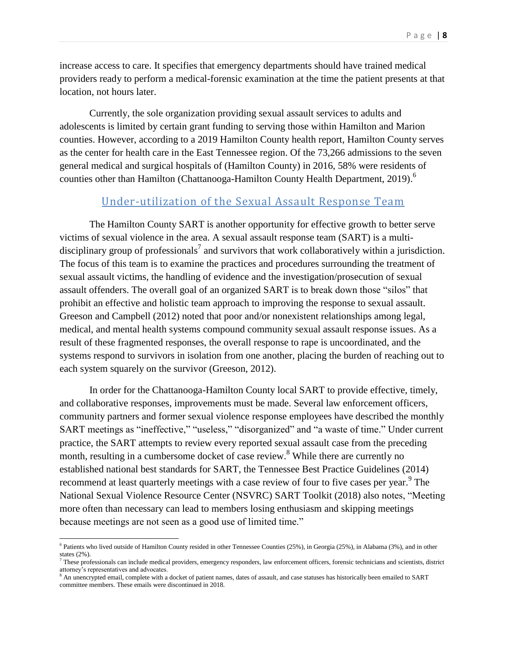increase access to care. It specifies that emergency departments should have trained medical providers ready to perform a medical-forensic examination at the time the patient presents at that location, not hours later.

Currently, the sole organization providing sexual assault services to adults and adolescents is limited by certain grant funding to serving those within Hamilton and Marion counties. However, according to a 2019 Hamilton County health report, Hamilton County serves as the center for health care in the East Tennessee region. Of the 73,266 admissions to the seven general medical and surgical hospitals of (Hamilton County) in 2016, 58% were residents of counties other than Hamilton (Chattanooga-Hamilton County Health Department, 2019). 6

#### Under-utilization of the Sexual Assault Response Team

The Hamilton County SART is another opportunity for effective growth to better serve victims of sexual violence in the area. A sexual assault response team (SART) is a multidisciplinary group of professionals<sup>7</sup> and survivors that work collaboratively within a jurisdiction. The focus of this team is to examine the practices and procedures surrounding the treatment of sexual assault victims, the handling of evidence and the investigation/prosecution of sexual assault offenders. The overall goal of an organized SART is to break down those "silos" that prohibit an effective and holistic team approach to improving the response to sexual assault. Greeson and Campbell (2012) noted that poor and/or nonexistent relationships among legal, medical, and mental health systems compound community sexual assault response issues. As a result of these fragmented responses, the overall response to rape is uncoordinated, and the systems respond to survivors in isolation from one another, placing the burden of reaching out to each system squarely on the survivor (Greeson, 2012).

In order for the Chattanooga-Hamilton County local SART to provide effective, timely, and collaborative responses, improvements must be made. Several law enforcement officers, community partners and former sexual violence response employees have described the monthly SART meetings as "ineffective," "useless," "disorganized" and "a waste of time." Under current practice, the SART attempts to review every reported sexual assault case from the preceding month, resulting in a cumbersome docket of case review.<sup>8</sup> While there are currently no established national best standards for SART, the Tennessee Best Practice Guidelines (2014) recommend at least quarterly meetings with a case review of four to five cases per year.<sup>9</sup> The National Sexual Violence Resource Center (NSVRC) SART Toolkit (2018) also notes, "Meeting more often than necessary can lead to members losing enthusiasm and skipping meetings because meetings are not seen as a good use of limited time."

<sup>&</sup>lt;sup>6</sup> Patients who lived outside of Hamilton County resided in other Tennessee Counties (25%), in Georgia (25%), in Alabama (3%), and in other states (2%).

 $^7$  These professionals can include medical providers, emergency responders, law enforcement officers, forensic technicians and scientists, district attorney's representatives and advocates.

<sup>&</sup>lt;sup>8</sup> An unencrypted email, complete with a docket of patient names, dates of assault, and case statuses has historically been emailed to SART committee members. These emails were discontinued in 2018.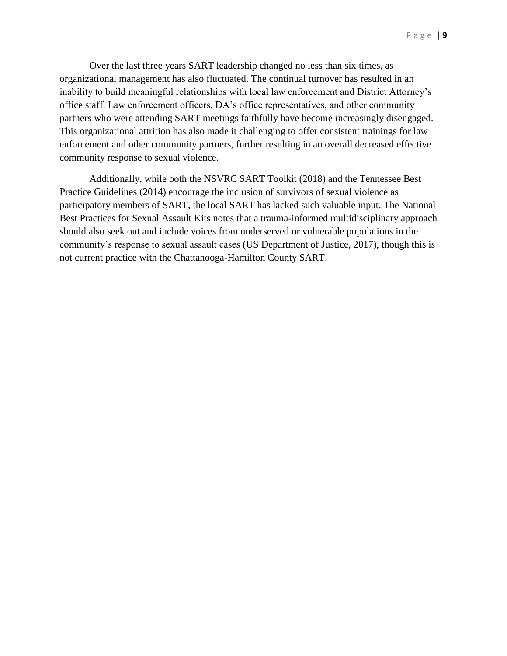Over the last three years SART leadership changed no less than six times, as organizational management has also fluctuated. The continual turnover has resulted in an inability to build meaningful relationships with local law enforcement and District Attorney's office staff. Law enforcement officers, DA's office representatives, and other community partners who were attending SART meetings faithfully have become increasingly disengaged. This organizational attrition has also made it challenging to offer consistent trainings for law enforcement and other community partners, further resulting in an overall decreased effective community response to sexual violence.

Additionally, while both the NSVRC SART Toolkit (2018) and the Tennessee Best Practice Guidelines (2014) encourage the inclusion of survivors of sexual violence as participatory members of SART, the local SART has lacked such valuable input. The National Best Practices for Sexual Assault Kits notes that a trauma-informed multidisciplinary approach should also seek out and include voices from underserved or vulnerable populations in the community's response to sexual assault cases (US Department of Justice, 2017), though this is not current practice with the Chattanooga-Hamilton County SART.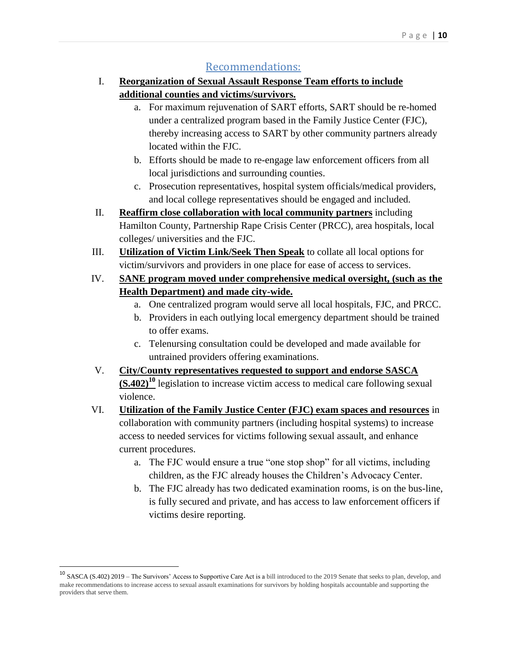#### Recommendations:

- I. **Reorganization of Sexual Assault Response Team efforts to include additional counties and victims/survivors.** 
	- a. For maximum rejuvenation of SART efforts, SART should be re-homed under a centralized program based in the Family Justice Center (FJC), thereby increasing access to SART by other community partners already located within the FJC.
	- b. Efforts should be made to re-engage law enforcement officers from all local jurisdictions and surrounding counties.
	- c. Prosecution representatives, hospital system officials/medical providers, and local college representatives should be engaged and included.
- II. **Reaffirm close collaboration with local community partners** including Hamilton County, Partnership Rape Crisis Center (PRCC), area hospitals, local colleges/ universities and the FJC.
- III. **Utilization of Victim Link/Seek Then Speak** to collate all local options for victim/survivors and providers in one place for ease of access to services.
- IV. **SANE program moved under comprehensive medical oversight, (such as the Health Department) and made city-wide.** 
	- a. One centralized program would serve all local hospitals, FJC, and PRCC.
	- b. Providers in each outlying local emergency department should be trained to offer exams.
	- c. Telenursing consultation could be developed and made available for untrained providers offering examinations.
- V. **City/County representatives requested to support and endorse SASCA (S.402)<sup>10</sup>** legislation to increase victim access to medical care following sexual violence.
- VI. **Utilization of the Family Justice Center (FJC) exam spaces and resources** in collaboration with community partners (including hospital systems) to increase access to needed services for victims following sexual assault, and enhance current procedures.
	- a. The FJC would ensure a true "one stop shop" for all victims, including children, as the FJC already houses the Children's Advocacy Center.
	- b. The FJC already has two dedicated examination rooms, is on the bus-line, is fully secured and private, and has access to law enforcement officers if victims desire reporting.

<sup>&</sup>lt;sup>10</sup> SASCA (S.402) 2019 – The Survivors' Access to Supportive Care Act is a bill introduced to the 2019 Senate that seeks to plan, develop, and make recommendations to increase access to sexual assault examinations for survivors by holding hospitals accountable and supporting the providers that serve them.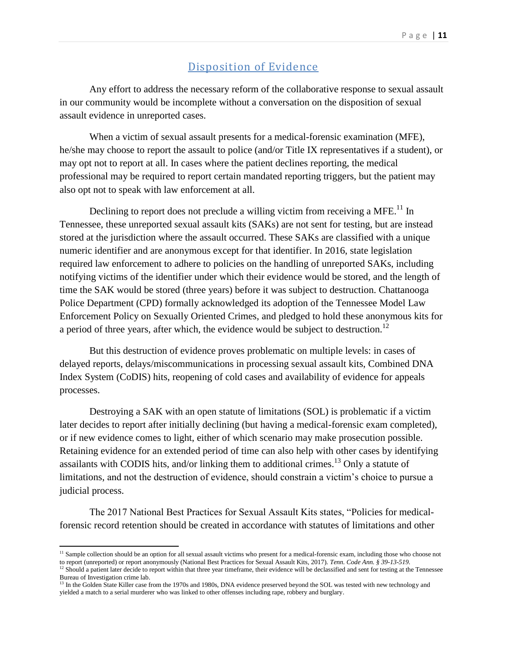#### Disposition of Evidence

Any effort to address the necessary reform of the collaborative response to sexual assault in our community would be incomplete without a conversation on the disposition of sexual assault evidence in unreported cases.

When a victim of sexual assault presents for a medical-forensic examination (MFE), he/she may choose to report the assault to police (and/or Title IX representatives if a student), or may opt not to report at all. In cases where the patient declines reporting, the medical professional may be required to report certain mandated reporting triggers, but the patient may also opt not to speak with law enforcement at all.

Declining to report does not preclude a willing victim from receiving a MFE.<sup>11</sup> In Tennessee, these unreported sexual assault kits (SAKs) are not sent for testing, but are instead stored at the jurisdiction where the assault occurred. These SAKs are classified with a unique numeric identifier and are anonymous except for that identifier. In 2016, state legislation required law enforcement to adhere to policies on the handling of unreported SAKs, including notifying victims of the identifier under which their evidence would be stored, and the length of time the SAK would be stored (three years) before it was subject to destruction. Chattanooga Police Department (CPD) formally acknowledged its adoption of the Tennessee Model Law Enforcement Policy on Sexually Oriented Crimes, and pledged to hold these anonymous kits for a period of three years, after which, the evidence would be subject to destruction.<sup>12</sup>

But this destruction of evidence proves problematic on multiple levels: in cases of delayed reports, delays/miscommunications in processing sexual assault kits, Combined DNA Index System (CoDIS) hits, reopening of cold cases and availability of evidence for appeals processes.

Destroying a SAK with an open statute of limitations (SOL) is problematic if a victim later decides to report after initially declining (but having a medical-forensic exam completed), or if new evidence comes to light, either of which scenario may make prosecution possible. Retaining evidence for an extended period of time can also help with other cases by identifying assailants with CODIS hits, and/or linking them to additional crimes.<sup>13</sup> Only a statute of limitations, and not the destruction of evidence, should constrain a victim's choice to pursue a judicial process.

The 2017 National Best Practices for Sexual Assault Kits states, "Policies for medicalforensic record retention should be created in accordance with statutes of limitations and other

 $\overline{a}$ 

<sup>&</sup>lt;sup>11</sup> Sample collection should be an option for all sexual assault victims who present for a medical-forensic exam, including those who choose not to report (unreported) or report anonymously (National Best Practices for Sexual Assault Kits, 2017). *Tenn. Code Ann. § 39-13-519.* 

<sup>&</sup>lt;sup>12</sup> Should a patient later decide to report within that three year timeframe, their evidence will be declassified and sent for testing at the Tennessee Bureau of Investigation crime lab.

<sup>&</sup>lt;sup>13</sup> In the Golden State Killer case from the 1970s and 1980s, DNA evidence preserved beyond the SOL was tested with new technology and yielded a match to a serial murderer who was linked to other offenses including rape, robbery and burglary.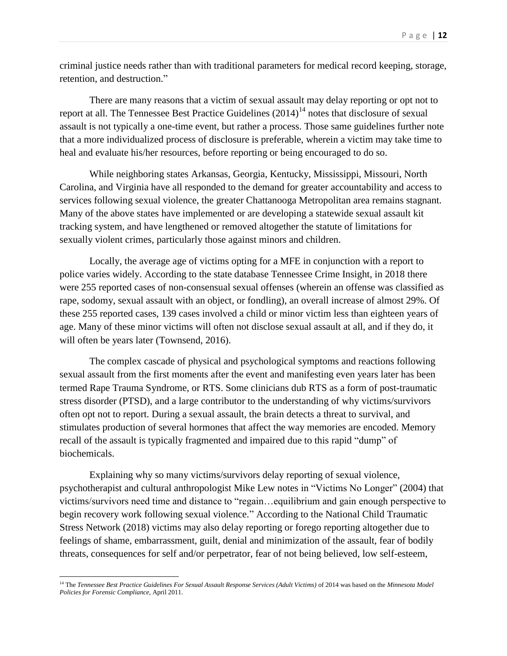criminal justice needs rather than with traditional parameters for medical record keeping, storage, retention, and destruction."

There are many reasons that a victim of sexual assault may delay reporting or opt not to report at all. The Tennessee Best Practice Guidelines  $(2014)^{14}$  notes that disclosure of sexual assault is not typically a one-time event, but rather a process. Those same guidelines further note that a more individualized process of disclosure is preferable, wherein a victim may take time to heal and evaluate his/her resources, before reporting or being encouraged to do so.

While neighboring states Arkansas, Georgia, Kentucky, Mississippi, Missouri, North Carolina, and Virginia have all responded to the demand for greater accountability and access to services following sexual violence, the greater Chattanooga Metropolitan area remains stagnant. Many of the above states have implemented or are developing a statewide sexual assault kit tracking system, and have lengthened or removed altogether the statute of limitations for sexually violent crimes, particularly those against minors and children.

Locally, the average age of victims opting for a MFE in conjunction with a report to police varies widely. According to the state database Tennessee Crime Insight, in 2018 there were 255 reported cases of non-consensual sexual offenses (wherein an offense was classified as rape, sodomy, sexual assault with an object, or fondling), an overall increase of almost 29%. Of these 255 reported cases, 139 cases involved a child or minor victim less than eighteen years of age. Many of these minor victims will often not disclose sexual assault at all, and if they do, it will often be years later (Townsend, 2016).

The complex cascade of physical and psychological symptoms and reactions following sexual assault from the first moments after the event and manifesting even years later has been termed Rape Trauma Syndrome, or RTS. Some clinicians dub RTS as a form of post-traumatic stress disorder (PTSD), and a large contributor to the understanding of why victims/survivors often opt not to report. During a sexual assault, the brain detects a threat to survival, and stimulates production of several hormones that affect the way memories are encoded. Memory recall of the assault is typically fragmented and impaired due to this rapid "dump" of biochemicals.

Explaining why so many victims/survivors delay reporting of sexual violence, psychotherapist and cultural anthropologist Mike Lew notes in "Victims No Longer" (2004) that victims/survivors need time and distance to "regain…equilibrium and gain enough perspective to begin recovery work following sexual violence." According to the National Child Traumatic Stress Network (2018) victims may also delay reporting or forego reporting altogether due to feelings of shame, embarrassment, guilt, denial and minimization of the assault, fear of bodily threats, consequences for self and/or perpetrator, fear of not being believed, low self-esteem,

l

<sup>14</sup> The *Tennessee Best Practice Guidelines For Sexual Assault Response Services (Adult Victims)* of 2014 was based on the *Minnesota Model Policies for Forensic Compliance*, April 2011.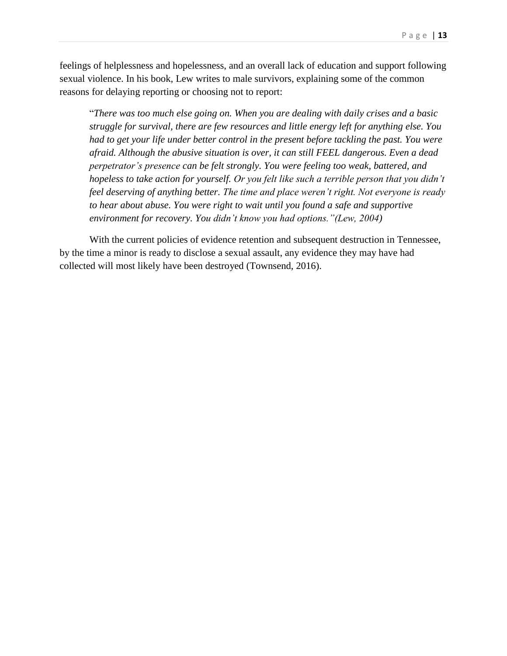feelings of helplessness and hopelessness, and an overall lack of education and support following sexual violence. In his book, Lew writes to male survivors, explaining some of the common reasons for delaying reporting or choosing not to report:

"*There was too much else going on. When you are dealing with daily crises and a basic struggle for survival, there are few resources and little energy left for anything else. You had to get your life under better control in the present before tackling the past. You were afraid. Although the abusive situation is over, it can still FEEL dangerous. Even a dead perpetrator's presence can be felt strongly. You were feeling too weak, battered, and hopeless to take action for yourself. Or you felt like such a terrible person that you didn't feel deserving of anything better. The time and place weren't right. Not everyone is ready to hear about abuse. You were right to wait until you found a safe and supportive environment for recovery. You didn't know you had options."(Lew, 2004)*

With the current policies of evidence retention and subsequent destruction in Tennessee, by the time a minor is ready to disclose a sexual assault, any evidence they may have had collected will most likely have been destroyed (Townsend, 2016).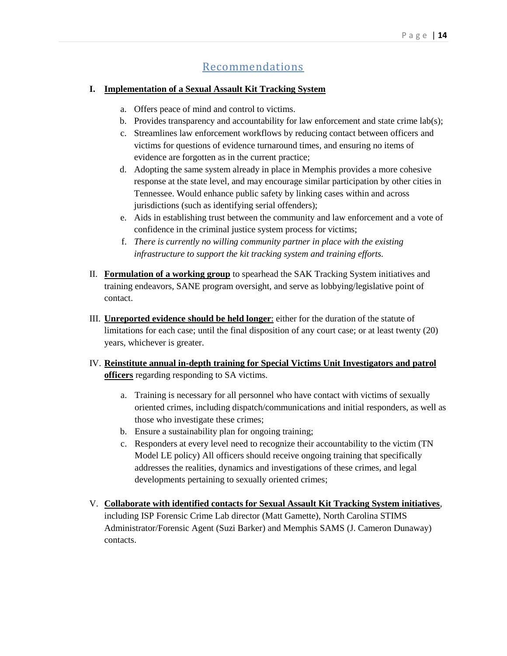#### Recommendations

#### **I. Implementation of a Sexual Assault Kit Tracking System**

- a. Offers peace of mind and control to victims.
- b. Provides transparency and accountability for law enforcement and state crime  $\text{lab}(s)$ ;
- c. Streamlines law enforcement workflows by reducing contact between officers and victims for questions of evidence turnaround times, and ensuring no items of evidence are forgotten as in the current practice;
- d. Adopting the same system already in place in Memphis provides a more cohesive response at the state level, and may encourage similar participation by other cities in Tennessee. Would enhance public safety by linking cases within and across jurisdictions (such as identifying serial offenders);
- e. Aids in establishing trust between the community and law enforcement and a vote of confidence in the criminal justice system process for victims;
- f. *There is currently no willing community partner in place with the existing infrastructure to support the kit tracking system and training efforts.*
- II. **Formulation of a working group** to spearhead the SAK Tracking System initiatives and training endeavors, SANE program oversight, and serve as lobbying/legislative point of contact.
- III. **Unreported evidence should be held longer**: either for the duration of the statute of limitations for each case; until the final disposition of any court case; or at least twenty (20) years, whichever is greater.
- IV. **Reinstitute annual in-depth training for Special Victims Unit Investigators and patrol officers** regarding responding to SA victims.
	- a. Training is necessary for all personnel who have contact with victims of sexually oriented crimes, including dispatch/communications and initial responders, as well as those who investigate these crimes;
	- b. Ensure a sustainability plan for ongoing training;
	- c. Responders at every level need to recognize their accountability to the victim (TN Model LE policy) All officers should receive ongoing training that specifically addresses the realities, dynamics and investigations of these crimes, and legal developments pertaining to sexually oriented crimes;
- V. **Collaborate with identified contacts for Sexual Assault Kit Tracking System initiatives**, including ISP Forensic Crime Lab director (Matt Gamette), North Carolina STIMS Administrator/Forensic Agent (Suzi Barker) and Memphis SAMS (J. Cameron Dunaway) contacts.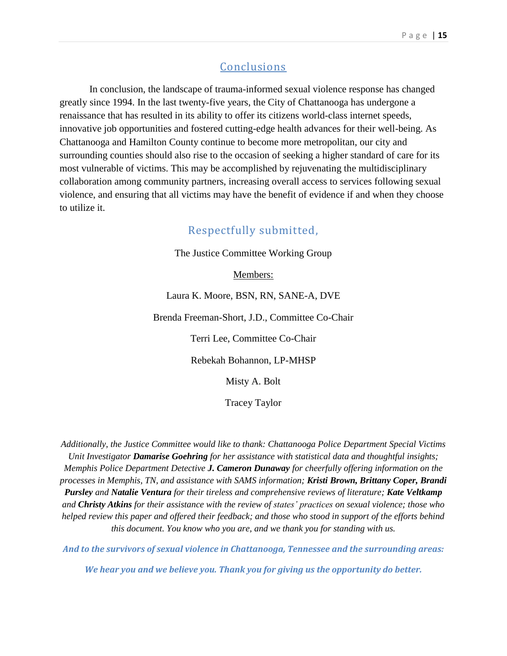#### **Conclusions**

In conclusion, the landscape of trauma-informed sexual violence response has changed greatly since 1994. In the last twenty-five years, the City of Chattanooga has undergone a renaissance that has resulted in its ability to offer its citizens world-class internet speeds, innovative job opportunities and fostered cutting-edge health advances for their well-being. As Chattanooga and Hamilton County continue to become more metropolitan, our city and surrounding counties should also rise to the occasion of seeking a higher standard of care for its most vulnerable of victims. This may be accomplished by rejuvenating the multidisciplinary collaboration among community partners, increasing overall access to services following sexual violence, and ensuring that all victims may have the benefit of evidence if and when they choose to utilize it.

#### Respectfully submitted,

The Justice Committee Working Group

Members:

Laura K. Moore, BSN, RN, SANE-A, DVE

Brenda Freeman-Short, J.D., Committee Co-Chair

Terri Lee, Committee Co-Chair

Rebekah Bohannon, LP-MHSP

Misty A. Bolt

Tracey Taylor

*Additionally, the Justice Committee would like to thank: Chattanooga Police Department Special Victims Unit Investigator Damarise Goehring for her assistance with statistical data and thoughtful insights; Memphis Police Department Detective J. Cameron Dunaway for cheerfully offering information on the processes in Memphis, TN, and assistance with SAMS information; Kristi Brown, Brittany Coper, Brandi Pursley and Natalie Ventura for their tireless and comprehensive reviews of literature; Kate Veltkamp and Christy Atkins for their assistance with the review of states' practices on sexual violence; those who helped review this paper and offered their feedback; and those who stood in support of the efforts behind this document. You know who you are, and we thank you for standing with us.*

*And to the survivors of sexual violence in Chattanooga, Tennessee and the surrounding areas:*

*We hear you and we believe you. Thank you for giving us the opportunity do better.*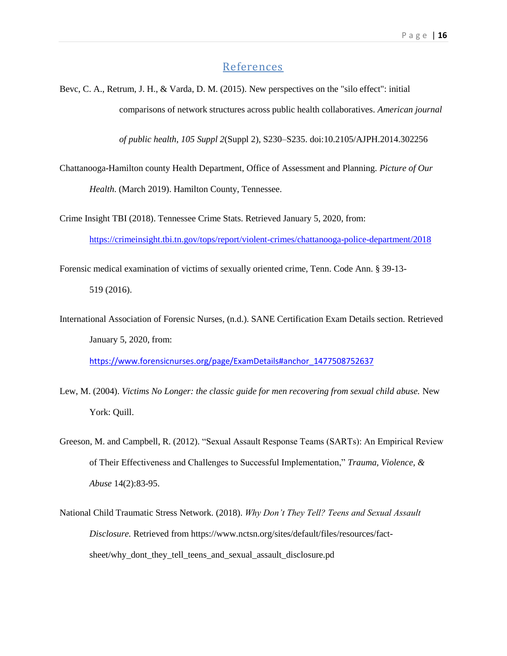#### **References**

Bevc, C. A., Retrum, J. H., & Varda, D. M. (2015). New perspectives on the "silo effect": initial comparisons of network structures across public health collaboratives. *American journal* 

*of public health*, *105 Suppl 2*(Suppl 2), S230–S235. doi:10.2105/AJPH.2014.302256

Chattanooga-Hamilton county Health Department, Office of Assessment and Planning. *Picture of Our Health*. (March 2019). Hamilton County, Tennessee.

Crime Insight TBI (2018). Tennessee Crime Stats. Retrieved January 5, 2020, from: <https://crimeinsight.tbi.tn.gov/tops/report/violent-crimes/chattanooga-police-department/2018>

Forensic medical examination of victims of sexually oriented crime, Tenn. Code Ann. § 39-13- 519 (2016).

International Association of Forensic Nurses, (n.d.). SANE Certification Exam Details section. Retrieved January 5, 2020, from:

[https://www.forensicnurses.org/page/ExamDetails#anchor\\_1477508752637](https://www.forensicnurses.org/page/ExamDetails#anchor_1477508752637)

- Lew, M. (2004). *Victims No Longer: the classic guide for men recovering from sexual child abuse.* New York: Quill.
- Greeson, M. and Campbell, R. (2012). "Sexual Assault Response Teams (SARTs): An Empirical Review of Their Effectiveness and Challenges to Successful Implementation," *Trauma, Violence, & Abuse* 14(2):83-95.
- National Child Traumatic Stress Network. (2018). *Why Don't They Tell? Teens and Sexual Assault Disclosure.* Retrieved from https://www.nctsn.org/sites/default/files/resources/factsheet/why\_dont\_they\_tell\_teens\_and\_sexual\_assault\_disclosure.pd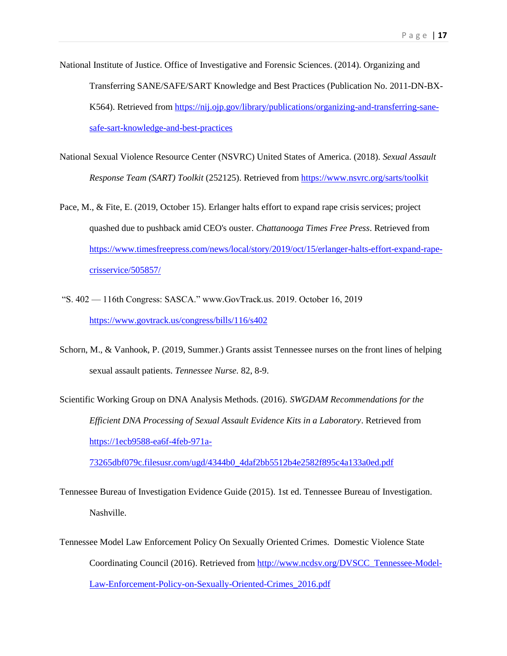- National Institute of Justice. Office of Investigative and Forensic Sciences. (2014). Organizing and Transferring SANE/SAFE/SART Knowledge and Best Practices (Publication No. 2011-DN-BX-K564). Retrieved from [https://nij.ojp.gov/library/publications/organizing-and-transferring-sane](https://nij.ojp.gov/library/publications/organizing-and-transferring-sane-safe-sart-knowledge-and-best-practices)[safe-sart-knowledge-and-best-practices](https://nij.ojp.gov/library/publications/organizing-and-transferring-sane-safe-sart-knowledge-and-best-practices)
- National Sexual Violence Resource Center (NSVRC) United States of America. (2018). *Sexual Assault Response Team (SART) Toolkit* (252125). Retrieved from<https://www.nsvrc.org/sarts/toolkit>
- Pace, M., & Fite, E. (2019, October 15). Erlanger halts effort to expand rape crisis services; project quashed due to pushback amid CEO's ouster. *Chattanooga Times Free Press*. Retrieved from [https://www.timesfreepress.com/news/local/story/2019/oct/15/erlanger-halts-effort-expand-rape](https://www.timesfreepress.com/news/local/story/2019/oct/15/erlanger-halts-effort-expand-rape-crisservice/505857/)[crisservice/505857/](https://www.timesfreepress.com/news/local/story/2019/oct/15/erlanger-halts-effort-expand-rape-crisservice/505857/)
- "S. 402 116th Congress: SASCA." www.GovTrack.us. 2019. October 16, 2019 <https://www.govtrack.us/congress/bills/116/s402>
- Schorn, M., & Vanhook, P. (2019, Summer.) Grants assist Tennessee nurses on the front lines of helping sexual assault patients. *Tennessee Nurse.* 82, 8-9.
- Scientific Working Group on DNA Analysis Methods. (2016). *SWGDAM Recommendations for the Efficient DNA Processing of Sexual Assault Evidence Kits in a Laboratory*. Retrieved from [https://1ecb9588-ea6f-4feb-971a-](https://1ecb9588-ea6f-4feb-971a-73265dbf079c.filesusr.com/ugd/4344b0_4daf2bb5512b4e2582f895c4a133a0ed.pdf)

[73265dbf079c.filesusr.com/ugd/4344b0\\_4daf2bb5512b4e2582f895c4a133a0ed.pdf](https://1ecb9588-ea6f-4feb-971a-73265dbf079c.filesusr.com/ugd/4344b0_4daf2bb5512b4e2582f895c4a133a0ed.pdf)

- Tennessee Bureau of Investigation Evidence Guide (2015). 1st ed. Tennessee Bureau of Investigation. Nashville.
- Tennessee Model Law Enforcement Policy On Sexually Oriented Crimes. Domestic Violence State Coordinating Council (2016). Retrieved from [http://www.ncdsv.org/DVSCC\\_Tennessee-Model-](http://www.ncdsv.org/DVSCC_Tennessee-Model-Law-Enforcement-Policy-on-Sexually-Oriented-Crimes_2016.pdf)[Law-Enforcement-Policy-on-Sexually-Oriented-Crimes\\_2016.pdf](http://www.ncdsv.org/DVSCC_Tennessee-Model-Law-Enforcement-Policy-on-Sexually-Oriented-Crimes_2016.pdf)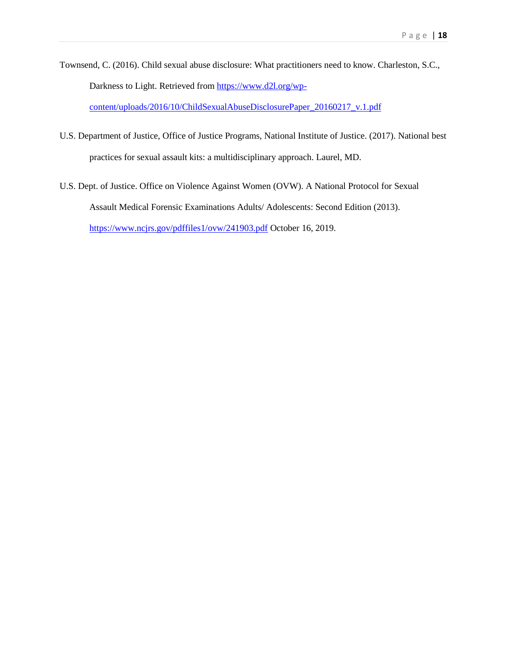- Townsend, C. (2016). Child sexual abuse disclosure: What practitioners need to know. Charleston, S.C., Darkness to Light. Retrieved from [https://www.d2l.org/wp](https://www.d2l.org/wp-content/uploads/2016/10/ChildSexualAbuseDisclosurePaper_20160217_v.1.pdf)[content/uploads/2016/10/ChildSexualAbuseDisclosurePaper\\_20160217\\_v.1.pdf](https://www.d2l.org/wp-content/uploads/2016/10/ChildSexualAbuseDisclosurePaper_20160217_v.1.pdf)
- U.S. Department of Justice, Office of Justice Programs, National Institute of Justice. (2017). National best practices for sexual assault kits: a multidisciplinary approach. Laurel, MD.
- U.S. Dept. of Justice. Office on Violence Against Women (OVW). A National Protocol for Sexual Assault Medical Forensic Examinations Adults/ Adolescents: Second Edition (2013). <https://www.ncjrs.gov/pdffiles1/ovw/241903.pdf> October 16, 2019.